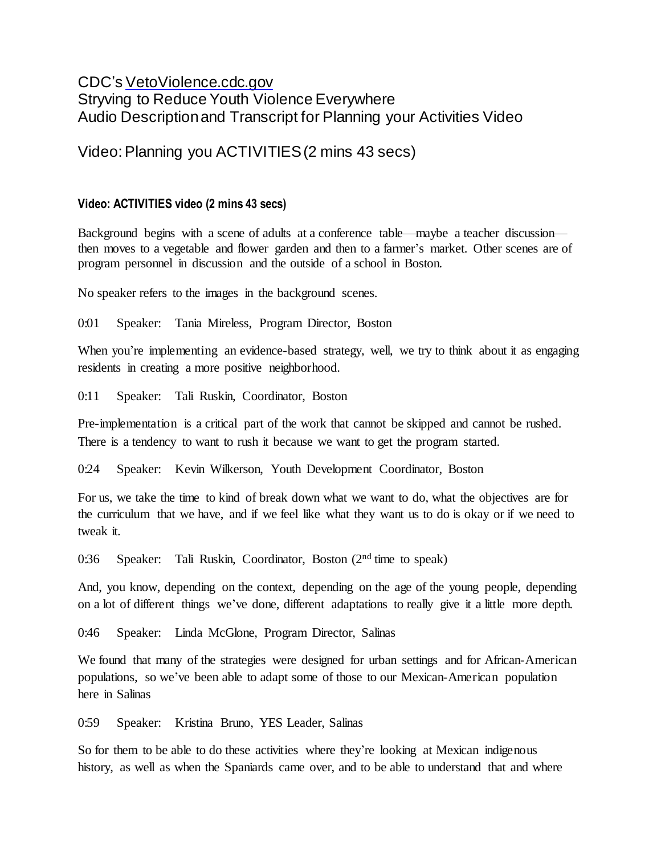## CDC's [VetoViolence.cdc.gov](http://vetoviolence.cdc.gov/) Stryving to Reduce Youth Violence Everywhere Audio Description and Transcript for Planning your Activities Video

## Video: Planning you ACTIVITIES (2 mins 43 secs)

## **Video: ACTIVITIES video (2 mins 43 secs)**

Background begins with a scene of adults at a conference table—maybe a teacher discussion then moves to a vegetable and flower garden and then to a farmer's market. Other scenes are of program personnel in discussion and the outside of a school in Boston.

No speaker refers to the images in the background scenes.

0:01 Speaker: Tania Mireless, Program Director, Boston

When you're implementing an evidence-based strategy, well, we try to think about it as engaging residents in creating a more positive neighborhood.

0:11 Speaker: Tali Ruskin, Coordinator, Boston

Pre-implementation is a critical part of the work that cannot be skipped and cannot be rushed. There is a tendency to want to rush it because we want to get the program started.

0:24 Speaker: Kevin Wilkerson, Youth Development Coordinator, Boston

For us, we take the time to kind of break down what we want to do, what the objectives are for the curriculum that we have, and if we feel like what they want us to do is okay or if we need to tweak it.

0:36 Speaker: Tali Ruskin, Coordinator, Boston (2<sup>nd</sup> time to speak)

And, you know, depending on the context, depending on the age of the young people, depending on a lot of different things we've done, different adaptations to really give it a little more depth.

0:46 Speaker: Linda McGlone, Program Director, Salinas

We found that many of the strategies were designed for urban settings and for African-American populations, so we've been able to adapt some of those to our Mexican-American population here in Salinas

0:59 Speaker: Kristina Bruno, YES Leader, Salinas

So for them to be able to do these activities where they're looking at Mexican indigenous history, as well as when the Spaniards came over, and to be able to understand that and where